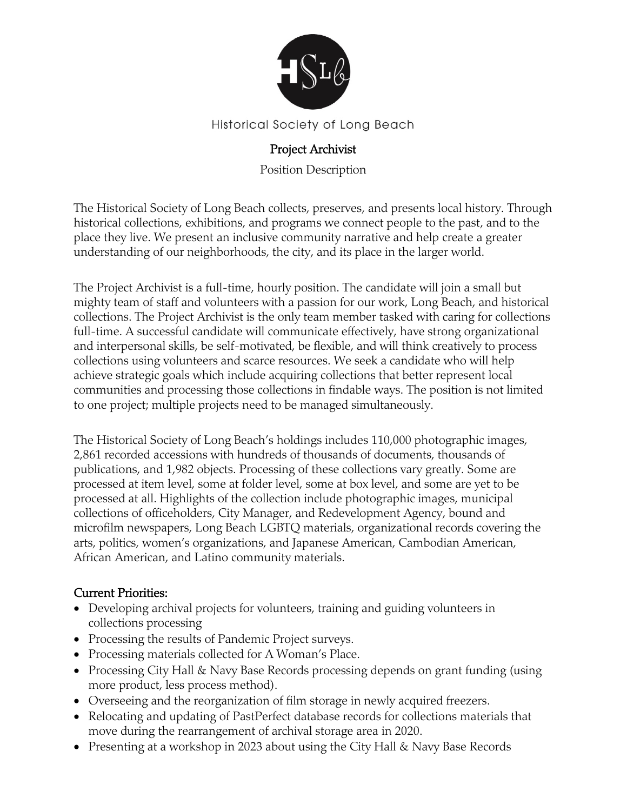

#### Historical Society of Long Beach

### Project Archivist

Position Description

The Historical Society of Long Beach collects, preserves, and presents local history. Through historical collections, exhibitions, and programs we connect people to the past, and to the place they live. We present an inclusive community narrative and help create a greater understanding of our neighborhoods, the city, and its place in the larger world.

The Project Archivist is a full-time, hourly position. The candidate will join a small but mighty team of staff and volunteers with a passion for our work, Long Beach, and historical collections. The Project Archivist is the only team member tasked with caring for collections full-time. A successful candidate will communicate effectively, have strong organizational and interpersonal skills, be self-motivated, be flexible, and will think creatively to process collections using volunteers and scarce resources. We seek a candidate who will help achieve strategic goals which include acquiring collections that better represent local communities and processing those collections in findable ways. The position is not limited to one project; multiple projects need to be managed simultaneously.

The Historical Society of Long Beach's holdings includes 110,000 photographic images, 2,861 recorded accessions with hundreds of thousands of documents, thousands of publications, and 1,982 objects. Processing of these collections vary greatly. Some are processed at item level, some at folder level, some at box level, and some are yet to be processed at all. Highlights of the collection include photographic images, municipal collections of officeholders, City Manager, and Redevelopment Agency, bound and microfilm newspapers, Long Beach LGBTQ materials, organizational records covering the arts, politics, women's organizations, and Japanese American, Cambodian American, African American, and Latino community materials.

#### Current Priorities:

- Developing archival projects for volunteers, training and guiding volunteers in collections processing
- Processing the results of Pandemic Project surveys.
- Processing materials collected for A Woman's Place.
- Processing City Hall & Navy Base Records processing depends on grant funding (using more product, less process method).
- Overseeing and the reorganization of film storage in newly acquired freezers.
- Relocating and updating of PastPerfect database records for collections materials that move during the rearrangement of archival storage area in 2020.
- Presenting at a workshop in 2023 about using the City Hall & Navy Base Records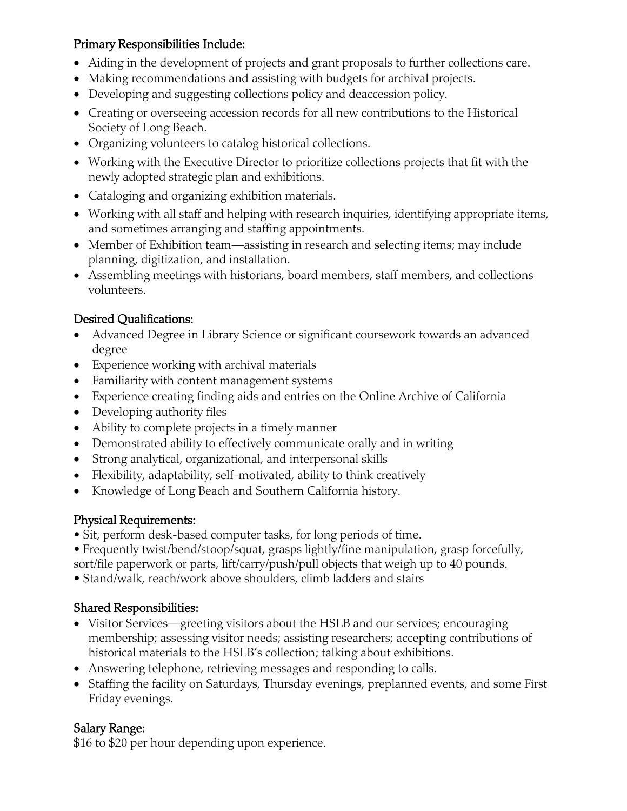### Primary Responsibilities Include:

- Aiding in the development of projects and grant proposals to further collections care.
- Making recommendations and assisting with budgets for archival projects.
- Developing and suggesting collections policy and deaccession policy.
- Creating or overseeing accession records for all new contributions to the Historical Society of Long Beach.
- Organizing volunteers to catalog historical collections.
- Working with the Executive Director to prioritize collections projects that fit with the newly adopted strategic plan and exhibitions.
- Cataloging and organizing exhibition materials.
- Working with all staff and helping with research inquiries, identifying appropriate items, and sometimes arranging and staffing appointments.
- Member of Exhibition team—assisting in research and selecting items; may include planning, digitization, and installation.
- Assembling meetings with historians, board members, staff members, and collections volunteers.

## Desired Qualifications:

- Advanced Degree in Library Science or significant coursework towards an advanced degree
- Experience working with archival materials
- Familiarity with content management systems
- Experience creating finding aids and entries on the Online Archive of California
- Developing authority files
- Ability to complete projects in a timely manner
- Demonstrated ability to effectively communicate orally and in writing
- Strong analytical, organizational, and interpersonal skills
- Flexibility, adaptability, self-motivated, ability to think creatively
- Knowledge of Long Beach and Southern California history.

# Physical Requirements:

- Sit, perform desk-based computer tasks, for long periods of time.
- Frequently twist/bend/stoop/squat, grasps lightly/fine manipulation, grasp forcefully,
- sort/file paperwork or parts, lift/carry/push/pull objects that weigh up to 40 pounds.
- Stand/walk, reach/work above shoulders, climb ladders and stairs

# Shared Responsibilities:

- Visitor Services—greeting visitors about the HSLB and our services; encouraging membership; assessing visitor needs; assisting researchers; accepting contributions of historical materials to the HSLB's collection; talking about exhibitions.
- Answering telephone, retrieving messages and responding to calls.
- Staffing the facility on Saturdays, Thursday evenings, preplanned events, and some First Friday evenings.

# Salary Range:

\$16 to \$20 per hour depending upon experience.